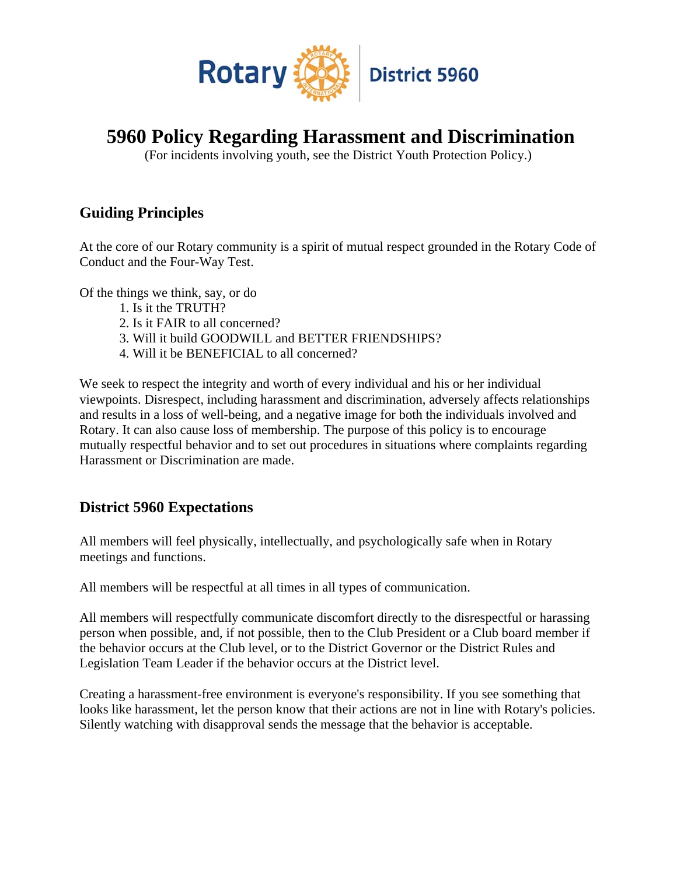

# **5960 Policy Regarding Harassment and Discrimination**

(For incidents involving youth, see the District Youth Protection Policy.)

### **Guiding Principles**

At the core of our Rotary community is a spirit of mutual respect grounded in the Rotary Code of Conduct and the Four-Way Test.

Of the things we think, say, or do

- 1. Is it the TRUTH?
- 2. Is it FAIR to all concerned?
- 3. Will it build GOODWILL and BETTER FRIENDSHIPS?
- 4. Will it be BENEFICIAL to all concerned?

We seek to respect the integrity and worth of every individual and his or her individual viewpoints. Disrespect, including harassment and discrimination, adversely affects relationships and results in a loss of well-being, and a negative image for both the individuals involved and Rotary. It can also cause loss of membership. The purpose of this policy is to encourage mutually respectful behavior and to set out procedures in situations where complaints regarding Harassment or Discrimination are made.

#### **District 5960 Expectations**

All members will feel physically, intellectually, and psychologically safe when in Rotary meetings and functions.

All members will be respectful at all times in all types of communication.

All members will respectfully communicate discomfort directly to the disrespectful or harassing person when possible, and, if not possible, then to the Club President or a Club board member if the behavior occurs at the Club level, or to the District Governor or the District Rules and Legislation Team Leader if the behavior occurs at the District level.

Creating a harassment-free environment is everyone's responsibility. If you see something that looks like harassment, let the person know that their actions are not in line with Rotary's policies. Silently watching with disapproval sends the message that the behavior is acceptable.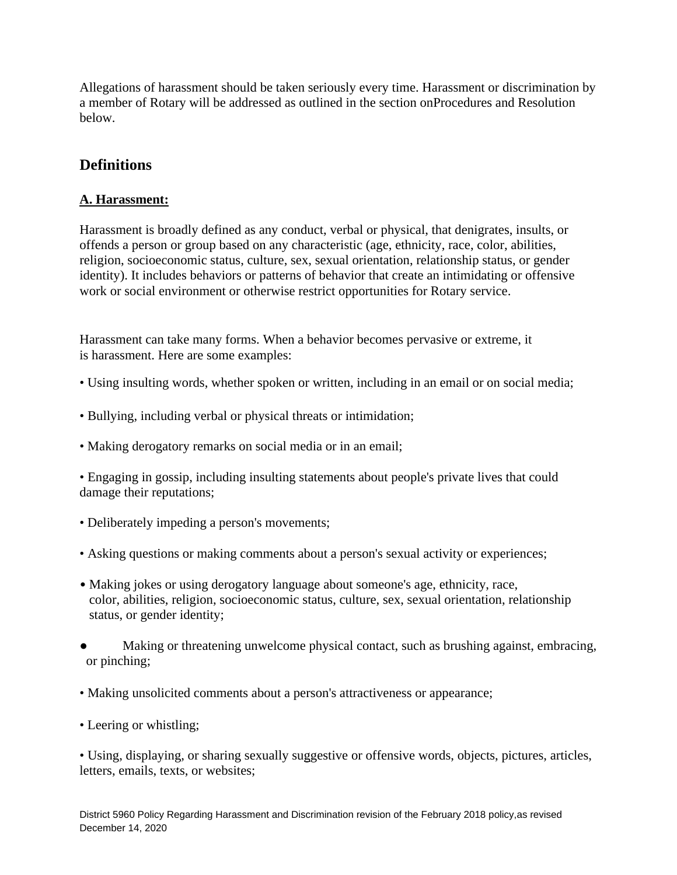Allegations of harassment should be taken seriously every time. Harassment or discrimination by a member of Rotary will be addressed as outlined in the section onProcedures and Resolution below.

### **Definitions**

#### **A. Harassment:**

Harassment is broadly defined as any conduct, verbal or physical, that denigrates, insults, or offends a person or group based on any characteristic (age, ethnicity, race, color, abilities, religion, socioeconomic status, culture, sex, sexual orientation, relationship status, or gender identity). It includes behaviors or patterns of behavior that create an intimidating or offensive work or social environment or otherwise restrict opportunities for Rotary service.

Harassment can take many forms. When a behavior becomes pervasive or extreme, it is harassment. Here are some examples:

- Using insulting words, whether spoken or written, including in an email or on social media;
- Bullying, including verbal or physical threats or intimidation;
- Making derogatory remarks on social media or in an email;

• Engaging in gossip, including insulting statements about people's private lives that could damage their reputations;

- Deliberately impeding a person's movements;
- Asking questions or making comments about a person's sexual activity or experiences;
- Making jokes or using derogatory language about someone's age, ethnicity, race, color, abilities, religion, socioeconomic status, culture, sex, sexual orientation, relationship status, or gender identity;
- Making or threatening unwelcome physical contact, such as brushing against, embracing, or pinching;
- Making unsolicited comments about a person's attractiveness or appearance;
- Leering or whistling;

• Using, displaying, or sharing sexually suggestive or offensive words, objects, pictures, articles, letters, emails, texts, or websites;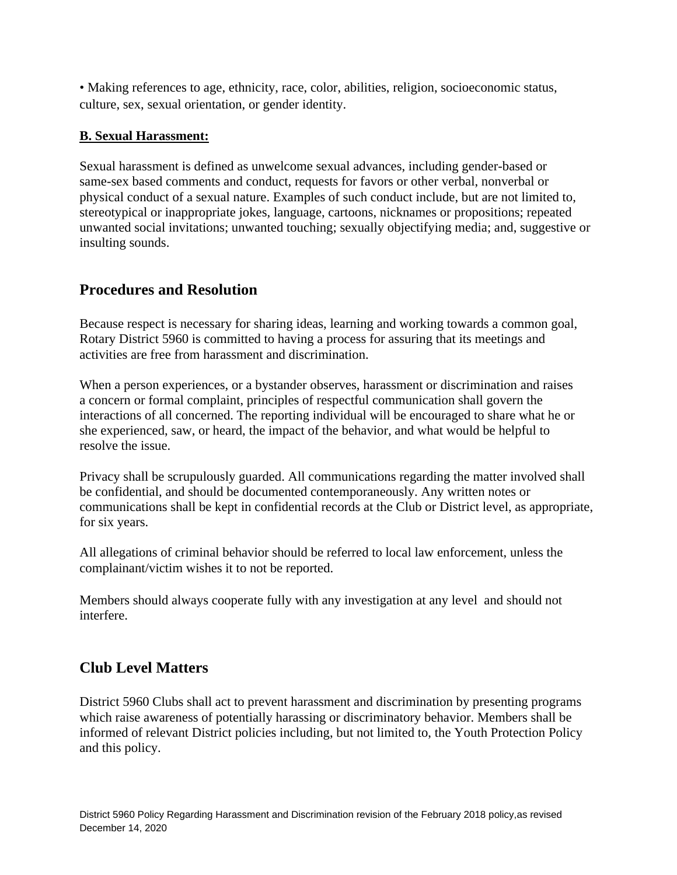• Making references to age, ethnicity, race, color, abilities, religion, socioeconomic status, culture, sex, sexual orientation, or gender identity.

#### **B. Sexual Harassment:**

Sexual harassment is defined as unwelcome sexual advances, including gender-based or same-sex based comments and conduct, requests for favors or other verbal, nonverbal or physical conduct of a sexual nature. Examples of such conduct include, but are not limited to, stereotypical or inappropriate jokes, language, cartoons, nicknames or propositions; repeated unwanted social invitations; unwanted touching; sexually objectifying media; and, suggestive or insulting sounds.

### **Procedures and Resolution**

Because respect is necessary for sharing ideas, learning and working towards a common goal, Rotary District 5960 is committed to having a process for assuring that its meetings and activities are free from harassment and discrimination.

When a person experiences, or a bystander observes, harassment or discrimination and raises a concern or formal complaint, principles of respectful communication shall govern the interactions of all concerned. The reporting individual will be encouraged to share what he or she experienced, saw, or heard, the impact of the behavior, and what would be helpful to resolve the issue.

Privacy shall be scrupulously guarded. All communications regarding the matter involved shall be confidential, and should be documented contemporaneously. Any written notes or communications shall be kept in confidential records at the Club or District level, as appropriate, for six years.

All allegations of criminal behavior should be referred to local law enforcement, unless the complainant/victim wishes it to not be reported.

Members should always cooperate fully with any investigation at any level and should not interfere.

### **Club Level Matters**

District 5960 Clubs shall act to prevent harassment and discrimination by presenting programs which raise awareness of potentially harassing or discriminatory behavior. Members shall be informed of relevant District policies including, but not limited to, the Youth Protection Policy and this policy.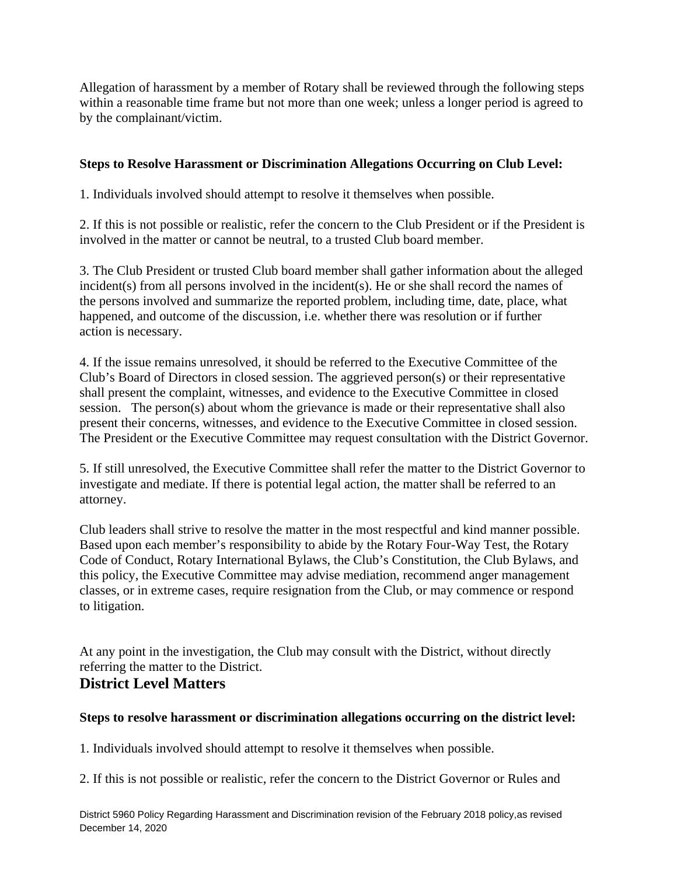Allegation of harassment by a member of Rotary shall be reviewed through the following steps within a reasonable time frame but not more than one week; unless a longer period is agreed to by the complainant/victim.

#### **Steps to Resolve Harassment or Discrimination Allegations Occurring on Club Level:**

1. Individuals involved should attempt to resolve it themselves when possible.

2. If this is not possible or realistic, refer the concern to the Club President or if the President is involved in the matter or cannot be neutral, to a trusted Club board member.

3. The Club President or trusted Club board member shall gather information about the alleged incident(s) from all persons involved in the incident(s). He or she shall record the names of the persons involved and summarize the reported problem, including time, date, place, what happened, and outcome of the discussion, i.e. whether there was resolution or if further action is necessary.

4. If the issue remains unresolved, it should be referred to the Executive Committee of the Club's Board of Directors in closed session. The aggrieved person(s) or their representative shall present the complaint, witnesses, and evidence to the Executive Committee in closed session. The person(s) about whom the grievance is made or their representative shall also present their concerns, witnesses, and evidence to the Executive Committee in closed session. The President or the Executive Committee may request consultation with the District Governor.

5. If still unresolved, the Executive Committee shall refer the matter to the District Governor to investigate and mediate. If there is potential legal action, the matter shall be referred to an attorney.

Club leaders shall strive to resolve the matter in the most respectful and kind manner possible. Based upon each member's responsibility to abide by the Rotary Four-Way Test, the Rotary Code of Conduct, Rotary International Bylaws, the Club's Constitution, the Club Bylaws, and this policy, the Executive Committee may advise mediation, recommend anger management classes, or in extreme cases, require resignation from the Club, or may commence or respond to litigation.

At any point in the investigation, the Club may consult with the District, without directly referring the matter to the District.

#### **District Level Matters**

#### **Steps to resolve harassment or discrimination allegations occurring on the district level:**

1. Individuals involved should attempt to resolve it themselves when possible.

2. If this is not possible or realistic, refer the concern to the District Governor or Rules and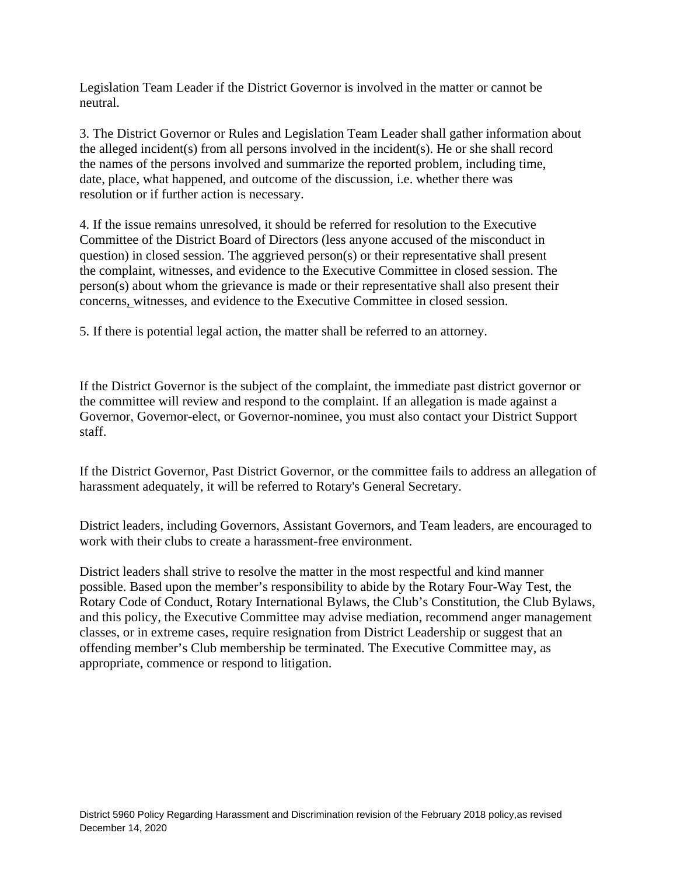Legislation Team Leader if the District Governor is involved in the matter or cannot be neutral.

3. The District Governor or Rules and Legislation Team Leader shall gather information about the alleged incident(s) from all persons involved in the incident(s). He or she shall record the names of the persons involved and summarize the reported problem, including time, date, place, what happened, and outcome of the discussion, i.e. whether there was resolution or if further action is necessary.

4. If the issue remains unresolved, it should be referred for resolution to the Executive Committee of the District Board of Directors (less anyone accused of the misconduct in question) in closed session. The aggrieved person(s) or their representative shall present the complaint, witnesses, and evidence to the Executive Committee in closed session. The person(s) about whom the grievance is made or their representative shall also present their concerns, witnesses, and evidence to the Executive Committee in closed session.

5. If there is potential legal action, the matter shall be referred to an attorney.

If the District Governor is the subject of the complaint, the immediate past district governor or the committee will review and respond to the complaint. If an allegation is made against a Governor, Governor-elect, or Governor-nominee, you must also contact your District Support staff.

If the District Governor, Past District Governor, or the committee fails to address an allegation of harassment adequately, it will be referred to Rotary's General Secretary.

District leaders, including Governors, Assistant Governors, and Team leaders, are encouraged to work with their clubs to create a harassment-free environment.

District leaders shall strive to resolve the matter in the most respectful and kind manner possible. Based upon the member's responsibility to abide by the Rotary Four-Way Test, the Rotary Code of Conduct, Rotary International Bylaws, the Club's Constitution, the Club Bylaws, and this policy, the Executive Committee may advise mediation, recommend anger management classes, or in extreme cases, require resignation from District Leadership or suggest that an offending member's Club membership be terminated. The Executive Committee may, as appropriate, commence or respond to litigation.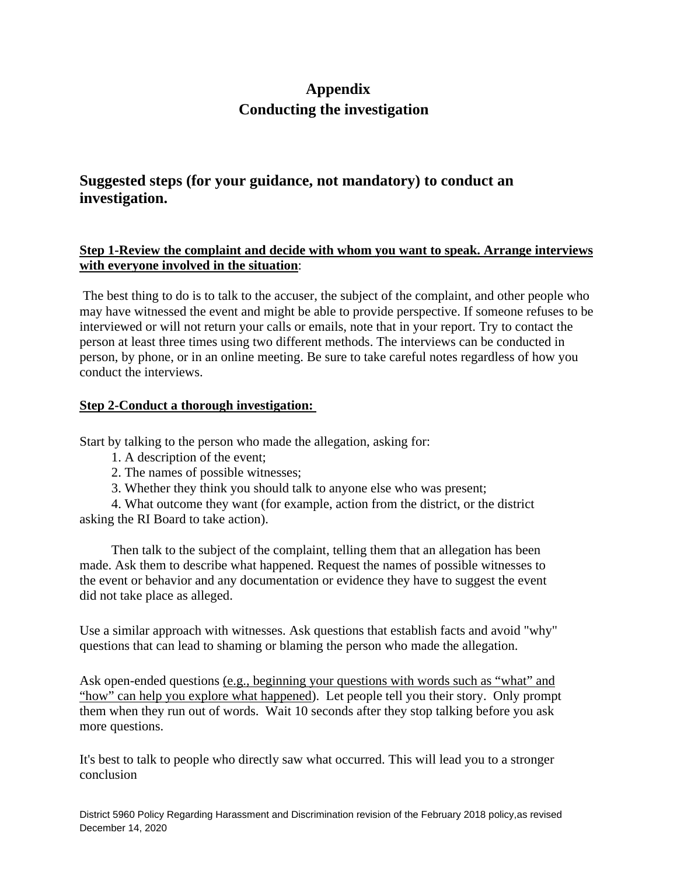## **Appendix Conducting the investigation**

### **Suggested steps (for your guidance, not mandatory) to conduct an investigation.**

#### **Step 1-Review the complaint and decide with whom you want to speak. Arrange interviews with everyone involved in the situation**:

 The best thing to do is to talk to the accuser, the subject of the complaint, and other people who may have witnessed the event and might be able to provide perspective. If someone refuses to be interviewed or will not return your calls or emails, note that in your report. Try to contact the person at least three times using two different methods. The interviews can be conducted in person, by phone, or in an online meeting. Be sure to take careful notes regardless of how you conduct the interviews.

#### **Step 2-Conduct a thorough investigation:**

Start by talking to the person who made the allegation, asking for:

- 1. A description of the event;
- 2. The names of possible witnesses;
- 3. Whether they think you should talk to anyone else who was present;

4. What outcome they want (for example, action from the district, or the district asking the RI Board to take action).

Then talk to the subject of the complaint, telling them that an allegation has been made. Ask them to describe what happened. Request the names of possible witnesses to the event or behavior and any documentation or evidence they have to suggest the event did not take place as alleged.

Use a similar approach with witnesses. Ask questions that establish facts and avoid "why" questions that can lead to shaming or blaming the person who made the allegation.

Ask open-ended questions (e.g., beginning your questions with words such as "what" and "how" can help you explore what happened). Let people tell you their story. Only prompt them when they run out of words. Wait 10 seconds after they stop talking before you ask more questions.

It's best to talk to people who directly saw what occurred. This will lead you to a stronger conclusion